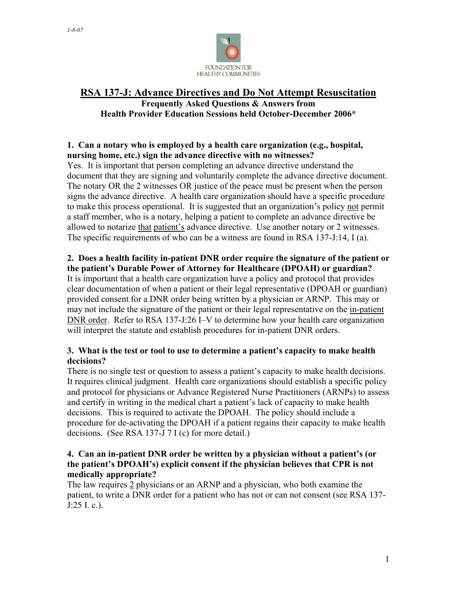

# **RSA 137-J: Advance Directives and Do Not Attempt Resuscitation Frequently Asked Questions & Answers from Health Provider Education Sessions held October-December 2006\***

### **1. Can a notary who is employed by a health care organization (e.g., hospital, nursing home, etc.) sign the advance directive with no witnesses?**

Yes. It is important that person completing an advance directive understand the document that they are signing and voluntarily complete the advance directive document. The notary OR the 2 witnesses OR justice of the peace must be present when the person signs the advance directive. A health care organization should have a specific procedure to make this process operational. It is suggested that an organization's policy not permit a staff member, who is a notary, helping a patient to complete an advance directive be allowed to notarize that patient's advance directive. Use another notary or 2 witnesses. The specific requirements of who can be a witness are found in RSA 137-J:14, I (a).

#### **2. Does a health facility in-patient DNR order require the signature of the patient or the patient's Durable Power of Attorney for Healthcare (DPOAH) or guardian?**

It is important that a health care organization have a policy and protocol that provides clear documentation of when a patient or their legal representative (DPOAH or guardian) provided consent for a DNR order being written by a physician or ARNP. This may or may not include the signature of the patient or their legal representative on the in-patient DNR order. Refer to RSA 137-J:26 I–V to determine how your health care organization will interpret the statute and establish procedures for in-patient DNR orders.

### **3. What is the test or tool to use to determine a patient's capacity to make health decisions?**

There is no single test or question to assess a patient's capacity to make health decisions. It requires clinical judgment. Health care organizations should establish a specific policy and protocol for physicians or Advance Registered Nurse Practitioners (ARNPs) to assess and certify in writing in the medical chart a patient's lack of capacity to make health decisions. This is required to activate the DPOAH. The policy should include a procedure for de-activating the DPOAH if a patient regains their capacity to make health decisions. (See RSA 137-J 7 I (c) for more detail.)

### **4. Can an in-patient DNR order be written by a physician without a patient's (or the patient's DPOAH's) explicit consent if the physician believes that CPR is not medically appropriate?**

The law requires 2 physicians or an ARNP and a physician, who both examine the patient, to write a DNR order for a patient who has not or can not consent (see RSA 137- J:25 I. c.).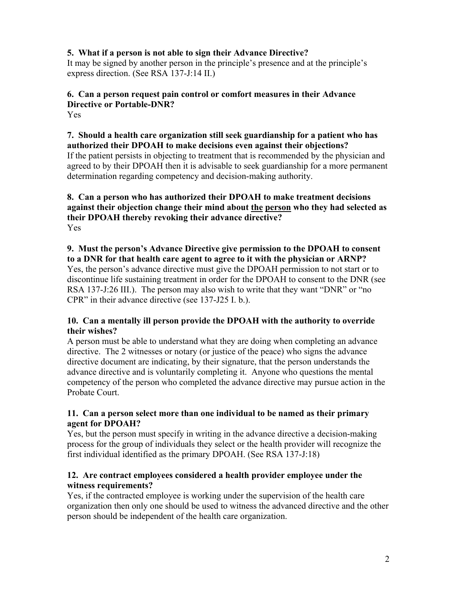### **5. What if a person is not able to sign their Advance Directive?**

It may be signed by another person in the principle's presence and at the principle's express direction. (See RSA 137-J:14 II.)

# **6. Can a person request pain control or comfort measures in their Advance Directive or Portable-DNR?**

Yes

#### **7. Should a health care organization still seek guardianship for a patient who has authorized their DPOAH to make decisions even against their objections?**

If the patient persists in objecting to treatment that is recommended by the physician and agreed to by their DPOAH then it is advisable to seek guardianship for a more permanent determination regarding competency and decision-making authority.

#### **8. Can a person who has authorized their DPOAH to make treatment decisions against their objection change their mind about the person who they had selected as their DPOAH thereby revoking their advance directive?**  Yes

### **9. Must the person's Advance Directive give permission to the DPOAH to consent to a DNR for that health care agent to agree to it with the physician or ARNP?**

Yes, the person's advance directive must give the DPOAH permission to not start or to discontinue life sustaining treatment in order for the DPOAH to consent to the DNR (see RSA 137-J:26 III.). The person may also wish to write that they want "DNR" or "no CPR" in their advance directive (see 137-J25 I. b.).

### **10. Can a mentally ill person provide the DPOAH with the authority to override their wishes?**

A person must be able to understand what they are doing when completing an advance directive. The 2 witnesses or notary (or justice of the peace) who signs the advance directive document are indicating, by their signature, that the person understands the advance directive and is voluntarily completing it. Anyone who questions the mental competency of the person who completed the advance directive may pursue action in the Probate Court.

#### **11. Can a person select more than one individual to be named as their primary agent for DPOAH?**

Yes, but the person must specify in writing in the advance directive a decision-making process for the group of individuals they select or the health provider will recognize the first individual identified as the primary DPOAH. (See RSA 137-J:18)

#### **12. Are contract employees considered a health provider employee under the witness requirements?**

Yes, if the contracted employee is working under the supervision of the health care organization then only one should be used to witness the advanced directive and the other person should be independent of the health care organization.